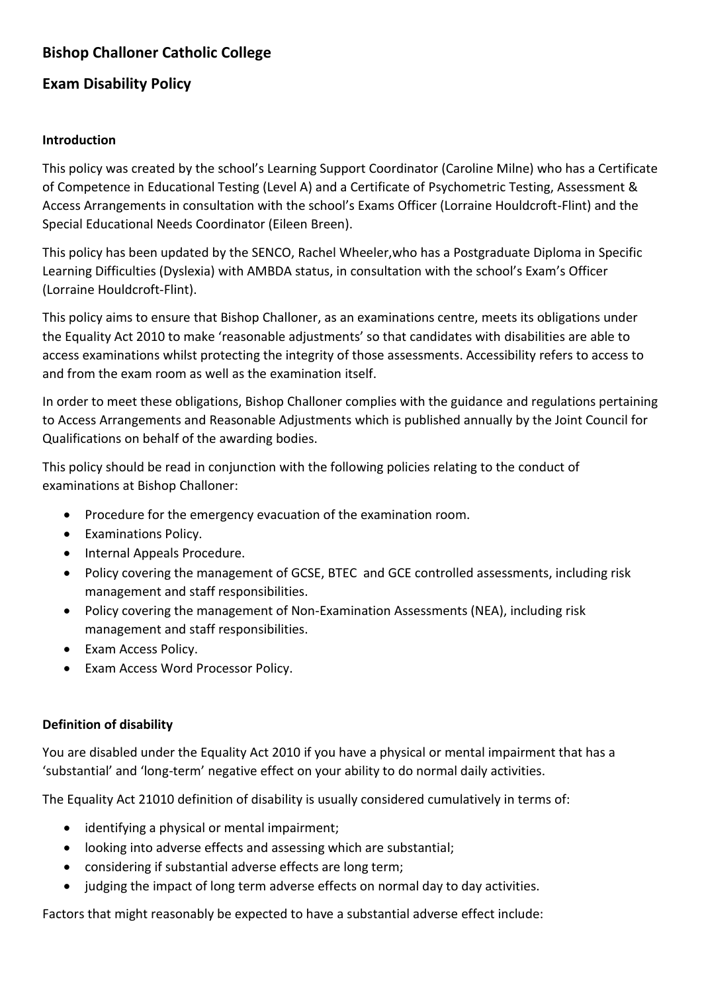# **Bishop Challoner Catholic College**

# **Exam Disability Policy**

#### **Introduction**

This policy was created by the school's Learning Support Coordinator (Caroline Milne) who has a Certificate of Competence in Educational Testing (Level A) and a Certificate of Psychometric Testing, Assessment & Access Arrangements in consultation with the school's Exams Officer (Lorraine Houldcroft-Flint) and the Special Educational Needs Coordinator (Eileen Breen).

This policy has been updated by the SENCO, Rachel Wheeler,who has a Postgraduate Diploma in Specific Learning Difficulties (Dyslexia) with AMBDA status, in consultation with the school's Exam's Officer (Lorraine Houldcroft-Flint).

This policy aims to ensure that Bishop Challoner, as an examinations centre, meets its obligations under the Equality Act 2010 to make 'reasonable adjustments' so that candidates with disabilities are able to access examinations whilst protecting the integrity of those assessments. Accessibility refers to access to and from the exam room as well as the examination itself.

In order to meet these obligations, Bishop Challoner complies with the guidance and regulations pertaining to Access Arrangements and Reasonable Adjustments which is published annually by the Joint Council for Qualifications on behalf of the awarding bodies.

This policy should be read in conjunction with the following policies relating to the conduct of examinations at Bishop Challoner:

- Procedure for the emergency evacuation of the examination room.
- Examinations Policy.
- Internal Appeals Procedure.
- Policy covering the management of GCSE, BTEC and GCE controlled assessments, including risk management and staff responsibilities.
- Policy covering the management of Non-Examination Assessments (NEA), including risk management and staff responsibilities.
- Exam Access Policy.
- Exam Access Word Processor Policy.

### **Definition of disability**

You are disabled under the Equality Act 2010 if you have a physical or mental impairment that has a 'substantial' and 'long-term' negative effect on your ability to do normal daily activities.

The Equality Act 21010 definition of disability is usually considered cumulatively in terms of:

- identifying a physical or mental impairment;
- looking into adverse effects and assessing which are substantial;
- considering if substantial adverse effects are long term;
- judging the impact of long term adverse effects on normal day to day activities.

Factors that might reasonably be expected to have a substantial adverse effect include: